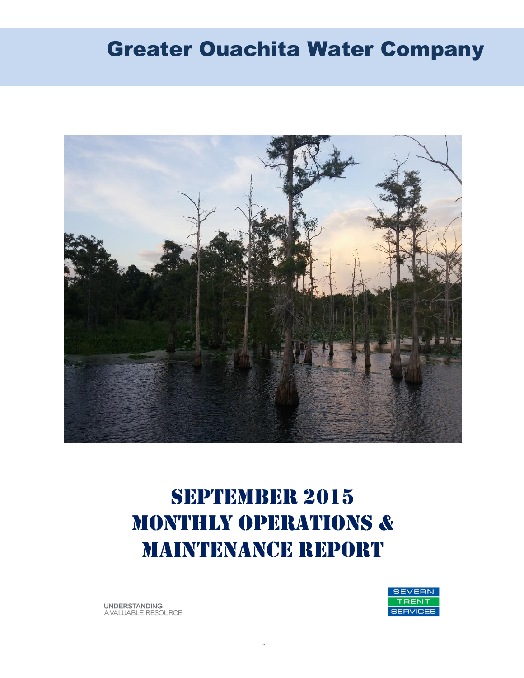# Greater Ouachita Water Company



# SEPTEMBER 2015 MONTHLY OPERATIONS & MAINTENANCE REPORT

**SEVERN RENT** SERVICES

**UNDERSTANDING** A VALUABLE RESOURCE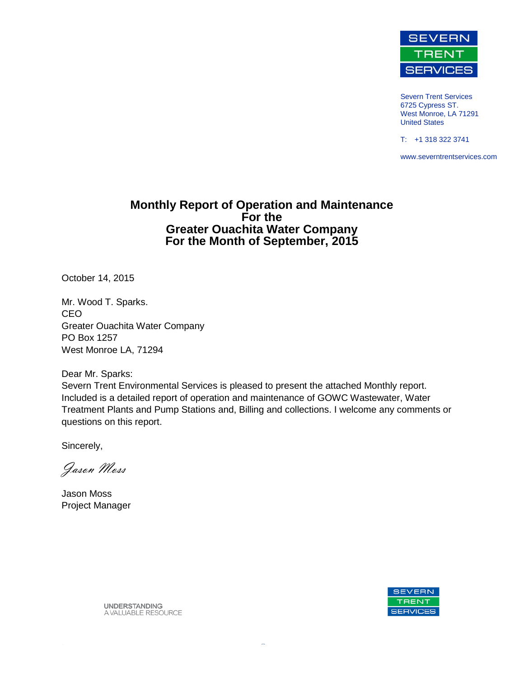

Severn Trent Services 6725 Cypress ST. West Monroe, LA 71291 United States

T: +1 318 322 3741

www.severntrentservices.com

#### **Monthly Report of Operation and Maintenance For the Greater Ouachita Water Company For the Month of September, 2015**

October 14, 2015

Mr. Wood T. Sparks. CEO Greater Ouachita Water Company PO Box 1257 West Monroe LA, 71294

Dear Mr. Sparks:

Severn Trent Environmental Services is pleased to present the attached Monthly report. Included is a detailed report of operation and maintenance of GOWC Wastewater, Water Treatment Plants and Pump Stations and, Billing and collections. I welcome any comments or questions on this report.

Sincerely,

Jason Moss

Jason Moss Project Manager



**UNDERSTANDING** A VALUABLE RESOURCE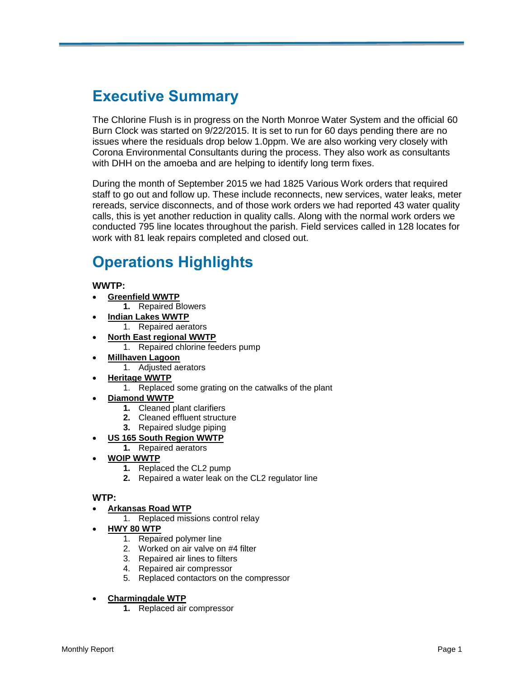# **Executive Summary**

The Chlorine Flush is in progress on the North Monroe Water System and the official 60 Burn Clock was started on 9/22/2015. It is set to run for 60 days pending there are no issues where the residuals drop below 1.0ppm. We are also working very closely with Corona Environmental Consultants during the process. They also work as consultants with DHH on the amoeba and are helping to identify long term fixes.

During the month of September 2015 we had 1825 Various Work orders that required staff to go out and follow up. These include reconnects, new services, water leaks, meter rereads, service disconnects, and of those work orders we had reported 43 water quality calls, this is yet another reduction in quality calls. Along with the normal work orders we conducted 795 line locates throughout the parish. Field services called in 128 locates for work with 81 leak repairs completed and closed out.

# **Operations Highlights**

**WWTP:**

- **Greenfield WWTP**
- **1.** Repaired Blowers
- **Indian Lakes WWTP**
	- 1. Repaired aerators
	- **North East regional WWTP**
		- 1. Repaired chlorine feeders pump
- **Millhaven Lagoon** 1. Adjusted aerators
	- **Heritage WWTP**
		- 1. Replaced some grating on the catwalks of the plant
- **Diamond WWTP**
	- **1.** Cleaned plant clarifiers
	- **2.** Cleaned effluent structure
	- **3.** Repaired sludge piping
	- **US 165 South Region WWTP**
	- **1.** Repaired aerators
- **WOIP WWTP**
	- **1.** Replaced the CL2 pump
	- **2.** Repaired a water leak on the CL2 regulator line

#### **WTP:**

- **Arkansas Road WTP**
	- 1. Replaced missions control relay
- **HWY 80 WTP**
	- 1. Repaired polymer line
	- 2. Worked on air valve on #4 filter
	- 3. Repaired air lines to filters
	- 4. Repaired air compressor
	- 5. Replaced contactors on the compressor
- **Charmingdale WTP**
	- **1.** Replaced air compressor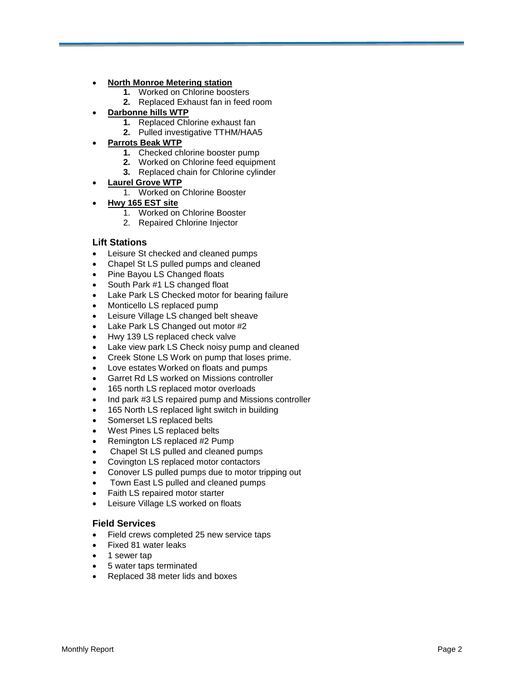#### **North Monroe Metering station**

- **1.** Worked on Chlorine boosters
- **2.** Replaced Exhaust fan in feed room

#### **Darbonne hills WTP**

- **1.** Replaced Chlorine exhaust fan
- **2.** Pulled investigative TTHM/HAA5

#### **Parrots Beak WTP**

- **1.** Checked chlorine booster pump
- **2.** Worked on Chlorine feed equipment
- **3.** Replaced chain for Chlorine cylinder
- **Laurel Grove WTP**
	- 1. Worked on Chlorine Booster
- **Hwy 165 EST site**
	- 1. Worked on Chlorine Booster
	- 2. Repaired Chlorine Injector

#### **Lift Stations**

- Leisure St checked and cleaned pumps
- Chapel St LS pulled pumps and cleaned
- Pine Bayou LS Changed floats
- South Park #1 LS changed float
- Lake Park LS Checked motor for bearing failure
- Monticello LS replaced pump
- Leisure Village LS changed belt sheave
- Lake Park LS Changed out motor #2
- Hwy 139 LS replaced check valve
- Lake view park LS Check noisy pump and cleaned
- Creek Stone LS Work on pump that loses prime.
- Love estates Worked on floats and pumps
- Garret Rd LS worked on Missions controller
- 165 north LS replaced motor overloads
- Ind park #3 LS repaired pump and Missions controller
- 165 North LS replaced light switch in building
- Somerset LS replaced belts
- West Pines LS replaced belts
- Remington LS replaced #2 Pump
- Chapel St LS pulled and cleaned pumps
- Covington LS replaced motor contactors
- Conover LS pulled pumps due to motor tripping out
- Town East LS pulled and cleaned pumps
- Faith LS repaired motor starter
- Leisure Village LS worked on floats

#### **Field Services**

- Field crews completed 25 new service taps
- Fixed 81 water leaks
- 1 sewer tap
- 5 water taps terminated
- Replaced 38 meter lids and boxes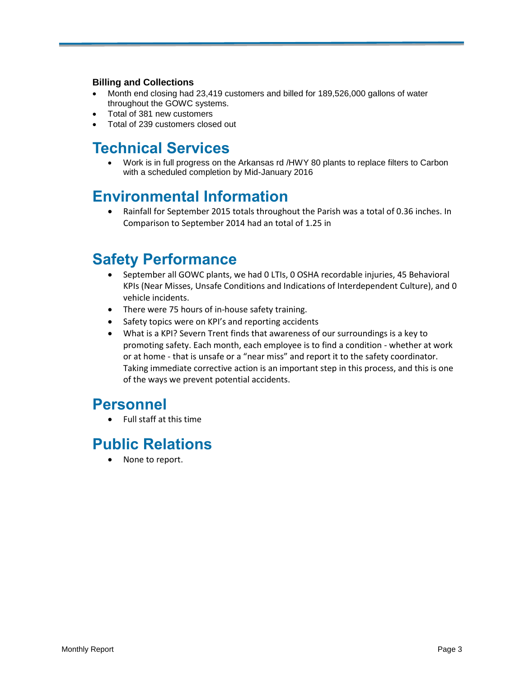#### **Billing and Collections**

- Month end closing had 23,419 customers and billed for 189,526,000 gallons of water throughout the GOWC systems.
- Total of 381 new customers
- Total of 239 customers closed out

## **Technical Services**

 Work is in full progress on the Arkansas rd /HWY 80 plants to replace filters to Carbon with a scheduled completion by Mid-January 2016

## **Environmental Information**

 Rainfall for September 2015 totals throughout the Parish was a total of 0.36 inches. In Comparison to September 2014 had an total of 1.25 in

## **Safety Performance**

- September all GOWC plants, we had 0 LTIs, 0 OSHA recordable injuries, 45 Behavioral KPIs (Near Misses, Unsafe Conditions and Indications of Interdependent Culture), and 0 vehicle incidents.
- There were 75 hours of in-house safety training.
- Safety topics were on KPI's and reporting accidents
- What is a KPI? Severn Trent finds that awareness of our surroundings is a key to promoting safety. Each month, each employee is to find a condition - whether at work or at home - that is unsafe or a "near miss" and report it to the safety coordinator. Taking immediate corrective action is an important step in this process, and this is one of the ways we prevent potential accidents.

### **Personnel**

Full staff at this time

## **Public Relations**

• None to report.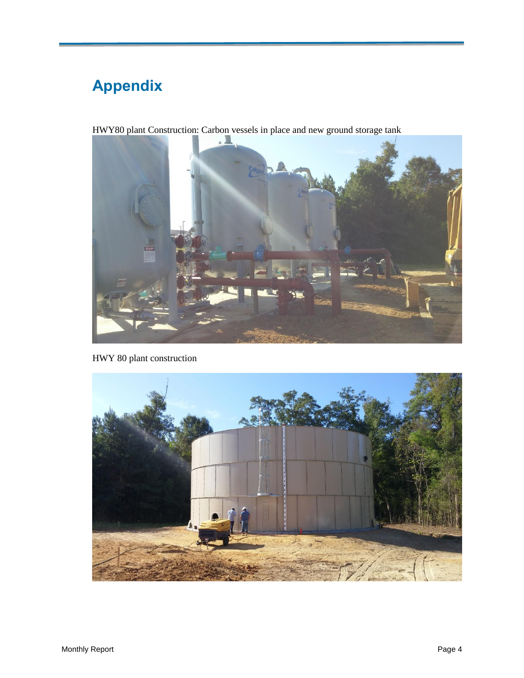# **Appendix**



HWY 80 plant construction

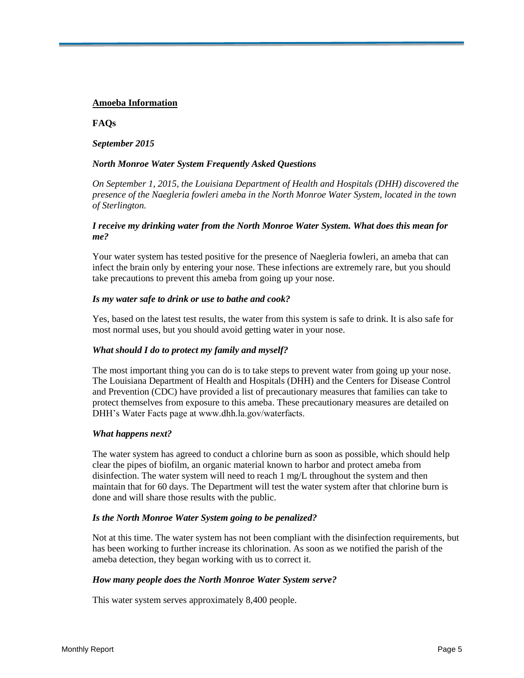#### **Amoeba Information**

#### **FAQs**

#### *September 2015*

#### *North Monroe Water System Frequently Asked Questions*

*On September 1, 2015, the Louisiana Department of Health and Hospitals (DHH) discovered the presence of the Naegleria fowleri ameba in the North Monroe Water System, located in the town of Sterlington.*

#### *I receive my drinking water from the North Monroe Water System. What does this mean for me?*

Your water system has tested positive for the presence of Naegleria fowleri, an ameba that can infect the brain only by entering your nose. These infections are extremely rare, but you should take precautions to prevent this ameba from going up your nose.

#### *Is my water safe to drink or use to bathe and cook?*

Yes, based on the latest test results, the water from this system is safe to drink. It is also safe for most normal uses, but you should avoid getting water in your nose.

#### *What should I do to protect my family and myself?*

The most important thing you can do is to take steps to prevent water from going up your nose. The Louisiana Department of Health and Hospitals (DHH) and the Centers for Disease Control and Prevention (CDC) have provided a list of precautionary measures that families can take to protect themselves from exposure to this ameba. These precautionary measures are detailed on DHH's Water Facts page at www.dhh.la.gov/waterfacts.

#### *What happens next?*

The water system has agreed to conduct a chlorine burn as soon as possible, which should help clear the pipes of biofilm, an organic material known to harbor and protect ameba from disinfection. The water system will need to reach 1 mg/L throughout the system and then maintain that for 60 days. The Department will test the water system after that chlorine burn is done and will share those results with the public.

#### *Is the North Monroe Water System going to be penalized?*

Not at this time. The water system has not been compliant with the disinfection requirements, but has been working to further increase its chlorination. As soon as we notified the parish of the ameba detection, they began working with us to correct it.

#### *How many people does the North Monroe Water System serve?*

This water system serves approximately 8,400 people.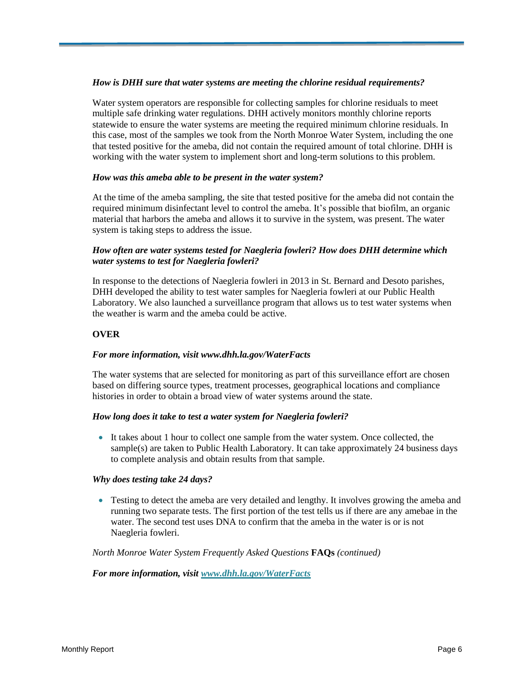#### *How is DHH sure that water systems are meeting the chlorine residual requirements?*

Water system operators are responsible for collecting samples for chlorine residuals to meet multiple safe drinking water regulations. DHH actively monitors monthly chlorine reports statewide to ensure the water systems are meeting the required minimum chlorine residuals. In this case, most of the samples we took from the North Monroe Water System, including the one that tested positive for the ameba, did not contain the required amount of total chlorine. DHH is working with the water system to implement short and long-term solutions to this problem.

#### *How was this ameba able to be present in the water system?*

At the time of the ameba sampling, the site that tested positive for the ameba did not contain the required minimum disinfectant level to control the ameba. It's possible that biofilm, an organic material that harbors the ameba and allows it to survive in the system, was present. The water system is taking steps to address the issue.

#### *How often are water systems tested for Naegleria fowleri? How does DHH determine which water systems to test for Naegleria fowleri?*

In response to the detections of Naegleria fowleri in 2013 in St. Bernard and Desoto parishes, DHH developed the ability to test water samples for Naegleria fowleri at our Public Health Laboratory. We also launched a surveillance program that allows us to test water systems when the weather is warm and the ameba could be active.

#### **OVER**

#### *For more information, visit www.dhh.la.gov/WaterFacts*

The water systems that are selected for monitoring as part of this surveillance effort are chosen based on differing source types, treatment processes, geographical locations and compliance histories in order to obtain a broad view of water systems around the state.

#### *How long does it take to test a water system for Naegleria fowleri?*

 It takes about 1 hour to collect one sample from the water system. Once collected, the sample(s) are taken to Public Health Laboratory. It can take approximately 24 business days to complete analysis and obtain results from that sample.

#### *Why does testing take 24 days?*

• Testing to detect the ameba are very detailed and lengthy. It involves growing the ameba and running two separate tests. The first portion of the test tells us if there are any amebae in the water. The second test uses DNA to confirm that the ameba in the water is or is not Naegleria fowleri.

#### *North Monroe Water System Frequently Asked Questions* **FAQs** *(continued)*

#### *For more information, visit [www.dhh.la.gov/WaterFacts](http://www.dhh.la.gov/WaterFacts)*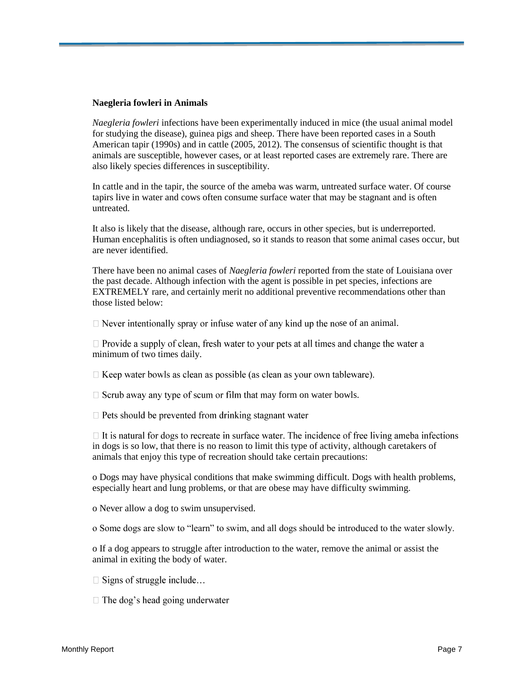#### **Naegleria fowleri in Animals**

*Naegleria fowleri* infections have been experimentally induced in mice (the usual animal model for studying the disease), guinea pigs and sheep. There have been reported cases in a South American tapir (1990s) and in cattle (2005, 2012). The consensus of scientific thought is that animals are susceptible, however cases, or at least reported cases are extremely rare. There are also likely species differences in susceptibility.

In cattle and in the tapir, the source of the ameba was warm, untreated surface water. Of course tapirs live in water and cows often consume surface water that may be stagnant and is often untreated.

It also is likely that the disease, although rare, occurs in other species, but is underreported. Human encephalitis is often undiagnosed, so it stands to reason that some animal cases occur, but are never identified.

There have been no animal cases of *Naegleria fowleri* reported from the state of Louisiana over the past decade. Although infection with the agent is possible in pet species, infections are EXTREMELY rare, and certainly merit no additional preventive recommendations other than those listed below:

 $\Box$  Never intentionally spray or infuse water of any kind up the nose of an animal.

 $\Box$  Provide a supply of clean, fresh water to your pets at all times and change the water a minimum of two times daily.

 $\Box$  Keep water bowls as clean as possible (as clean as your own tableware).

 $\Box$  Scrub away any type of scum or film that may form on water bowls.

 $\Box$  Pets should be prevented from drinking stagnant water

 $\Box$  It is natural for dogs to recreate in surface water. The incidence of free living ameba infections in dogs is so low, that there is no reason to limit this type of activity, although caretakers of animals that enjoy this type of recreation should take certain precautions:

o Dogs may have physical conditions that make swimming difficult. Dogs with health problems, especially heart and lung problems, or that are obese may have difficulty swimming.

o Never allow a dog to swim unsupervised.

o Some dogs are slow to "learn" to swim, and all dogs should be introduced to the water slowly.

o If a dog appears to struggle after introduction to the water, remove the animal or assist the animal in exiting the body of water.

- $\Box$  Signs of struggle include...
- $\Box$  The dog's head going underwater